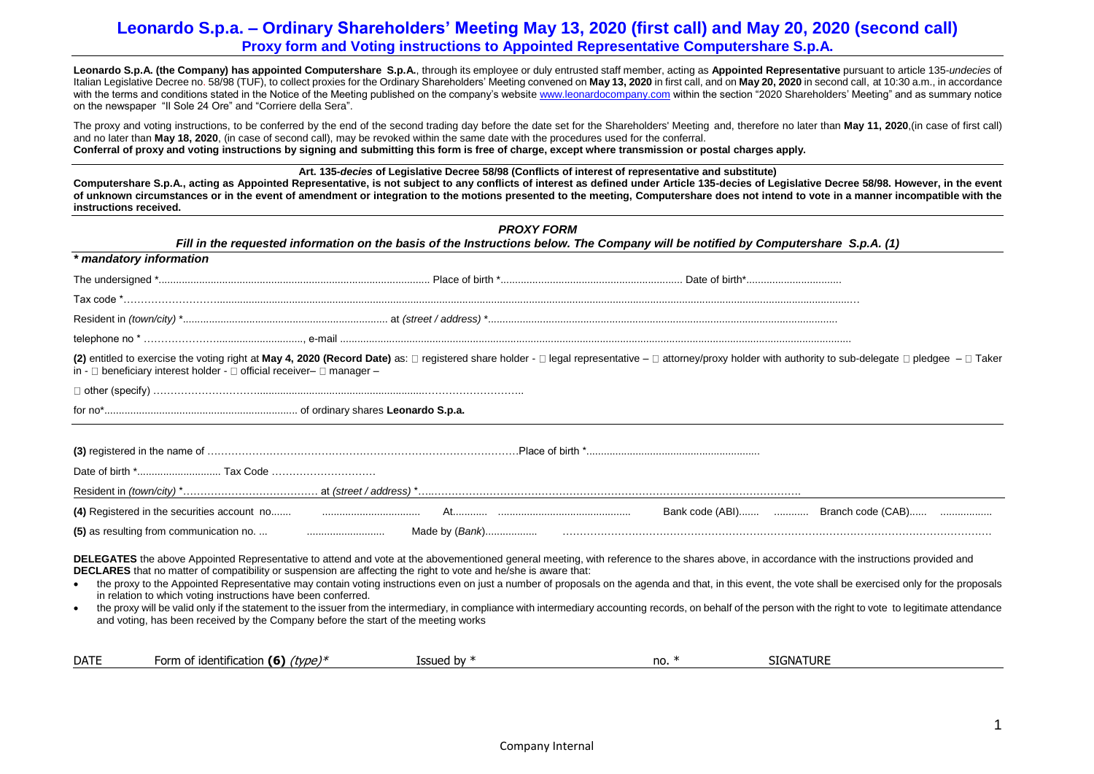Leonardo S.p.A. (the Company) has appointed Computershare S.p.A., through its employee or duly entrusted staff member, acting as Appointed Representative pursuant to article 135-undecies of Italian Legislative Decree no. 58/98 (TUF), to collect proxies for the Ordinary Shareholders' Meeting convened on **May 13, 2020** in first call, and on **May 20, 2020** in second call, at 10:30 a.m., in accordance with the terms and conditions stated in the Notice of the Meeting published on the company's websit[e www.leonardocompany.com](http://www.leonardocompany.com/) within the section "2020 Shareholders' Meeting" and as summary notice on the newspaper "Il Sole 24 Ore" and "Corriere della Sera".

The proxy and voting instructions, to be conferred by the end of the second trading day before the date set for the Shareholders' Meeting and, therefore no later than **May 11, 2020**,(in case of first call) and no later than **May 18, 2020**, (in case of second call), may be revoked within the same date with the procedures used for the conferral. **Conferral of proxy and voting instructions by signing and submitting this form is free of charge, except where transmission or postal charges apply.**

**Art. 135-***decies* **of Legislative Decree 58/98 (Conflicts of interest of representative and substitute)** 

**Computershare S.p.A., acting as Appointed Representative, is not subject to any conflicts of interest as defined under Article 135-decies of Legislative Decree 58/98. However, in the event of unknown circumstances or in the event of amendment or integration to the motions presented to the meeting, Computershare does not intend to vote in a manner incompatible with the instructions received.**

|                                                                                                                                                                                                                                                                                                                                                                                                                                                                                                                                                                                                                                                                                                                                                                                                                                                                                                    | <b>PROXY FORM</b> | Fill in the requested information on the basis of the Instructions below. The Company will be notified by Computershare S.p.A. (1) |  |
|----------------------------------------------------------------------------------------------------------------------------------------------------------------------------------------------------------------------------------------------------------------------------------------------------------------------------------------------------------------------------------------------------------------------------------------------------------------------------------------------------------------------------------------------------------------------------------------------------------------------------------------------------------------------------------------------------------------------------------------------------------------------------------------------------------------------------------------------------------------------------------------------------|-------------------|------------------------------------------------------------------------------------------------------------------------------------|--|
| * mandatory information                                                                                                                                                                                                                                                                                                                                                                                                                                                                                                                                                                                                                                                                                                                                                                                                                                                                            |                   |                                                                                                                                    |  |
|                                                                                                                                                                                                                                                                                                                                                                                                                                                                                                                                                                                                                                                                                                                                                                                                                                                                                                    |                   |                                                                                                                                    |  |
|                                                                                                                                                                                                                                                                                                                                                                                                                                                                                                                                                                                                                                                                                                                                                                                                                                                                                                    |                   |                                                                                                                                    |  |
|                                                                                                                                                                                                                                                                                                                                                                                                                                                                                                                                                                                                                                                                                                                                                                                                                                                                                                    |                   |                                                                                                                                    |  |
|                                                                                                                                                                                                                                                                                                                                                                                                                                                                                                                                                                                                                                                                                                                                                                                                                                                                                                    |                   |                                                                                                                                    |  |
| (2) entitled to exercise the voting right at May 4, 2020 (Record Date) as: □ registered share holder - □ legal representative - □ attorney/proxy holder with authority to sub-delegate □ pledgee - □ Taker<br>in - $\Box$ beneficiary interest holder - $\Box$ official receiver- $\Box$ manager -                                                                                                                                                                                                                                                                                                                                                                                                                                                                                                                                                                                                 |                   |                                                                                                                                    |  |
|                                                                                                                                                                                                                                                                                                                                                                                                                                                                                                                                                                                                                                                                                                                                                                                                                                                                                                    |                   |                                                                                                                                    |  |
|                                                                                                                                                                                                                                                                                                                                                                                                                                                                                                                                                                                                                                                                                                                                                                                                                                                                                                    |                   |                                                                                                                                    |  |
|                                                                                                                                                                                                                                                                                                                                                                                                                                                                                                                                                                                                                                                                                                                                                                                                                                                                                                    |                   |                                                                                                                                    |  |
|                                                                                                                                                                                                                                                                                                                                                                                                                                                                                                                                                                                                                                                                                                                                                                                                                                                                                                    |                   |                                                                                                                                    |  |
|                                                                                                                                                                                                                                                                                                                                                                                                                                                                                                                                                                                                                                                                                                                                                                                                                                                                                                    |                   |                                                                                                                                    |  |
|                                                                                                                                                                                                                                                                                                                                                                                                                                                                                                                                                                                                                                                                                                                                                                                                                                                                                                    |                   |                                                                                                                                    |  |
|                                                                                                                                                                                                                                                                                                                                                                                                                                                                                                                                                                                                                                                                                                                                                                                                                                                                                                    |                   |                                                                                                                                    |  |
|                                                                                                                                                                                                                                                                                                                                                                                                                                                                                                                                                                                                                                                                                                                                                                                                                                                                                                    |                   |                                                                                                                                    |  |
| DELEGATES the above Appointed Representative to attend and vote at the abovementioned general meeting, with reference to the shares above, in accordance with the instructions provided and<br>DECLARES that no matter of compatibility or suspension are affecting the right to vote and he/she is aware that:<br>the proxy to the Appointed Representative may contain voting instructions even on just a number of proposals on the agenda and that, in this event, the vote shall be exercised only for the proposals<br>in relation to which voting instructions have been conferred.<br>the proxy will be valid only if the statement to the issuer from the intermediary, in compliance with intermediary accounting records, on behalf of the person with the right to vote to legitimate attendance<br>and voting, has been received by the Company before the start of the meeting works |                   |                                                                                                                                    |  |

| <b>SIGNATURE</b><br><b>DATE</b><br>.<br>. .<br>uwpe <sup>y*</sup><br><b>Issued by *</b><br>identification<br>no<br>-orn<br>16)<br>. |  |
|-------------------------------------------------------------------------------------------------------------------------------------|--|
|-------------------------------------------------------------------------------------------------------------------------------------|--|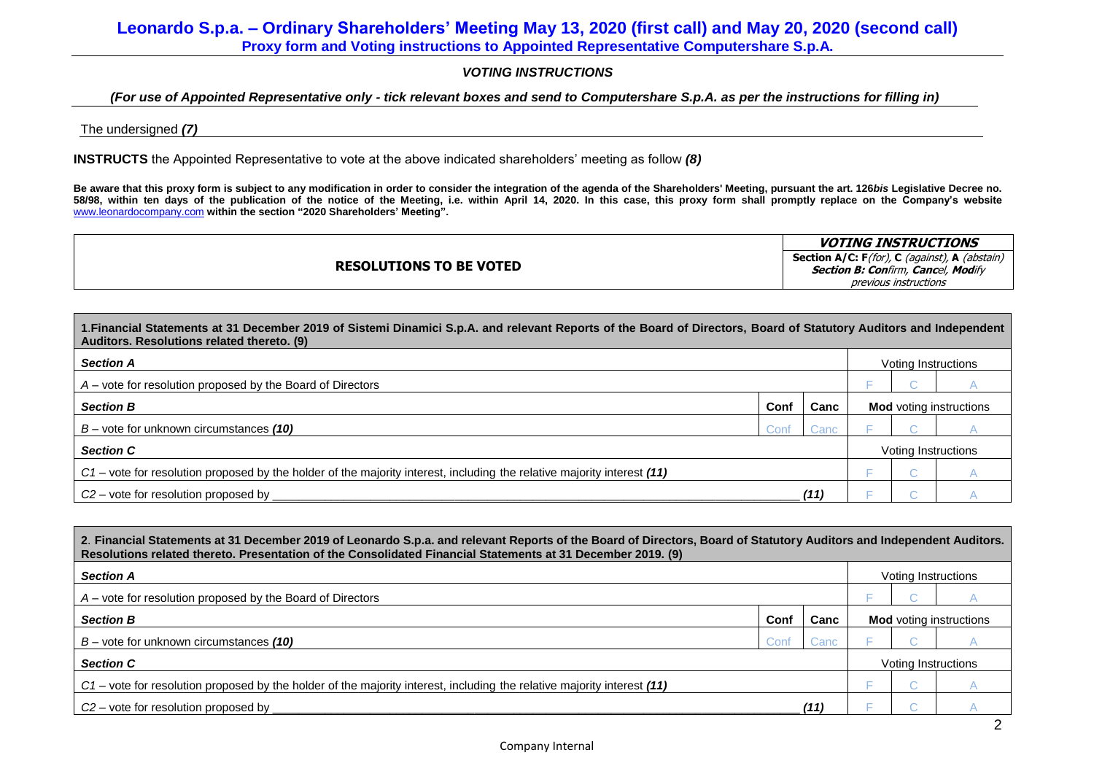## *VOTING INSTRUCTIONS*

## *(For use of Appointed Representative only - tick relevant boxes and send to Computershare S.p.A. as per the instructions for filling in)*

### The undersigned *(7)*

**INSTRUCTS** the Appointed Representative to vote at the above indicated shareholders' meeting as follow *(8)*

**Be aware that this proxy form is subject to any modification in order to consider the integration of the agenda of the Shareholders' Meeting, pursuant the art. 126***bis* **Legislative Decree no. 58/98, within ten days of the publication of the notice of the Meeting, i.e. within April 14, 2020. In this case, this proxy form shall promptly replace on the Company's website**  [www.leonardocompany.com](http://www.leonardocompany.com/) **within the section "2020 Shareholders' Meeting".**

|                                | <b>VOTING INSTRUCTIONS</b>                                          |
|--------------------------------|---------------------------------------------------------------------|
| <b>RESOLUTIONS TO BE VOTED</b> | <b>Section A/C: F</b> (for), <b>C</b> (against), <b>A</b> (abstain) |
|                                | <b>Section B: Confirm, Cancel, Modify</b>                           |
|                                | previous instructions                                               |

| 1. Financial Statements at 31 December 2019 of Sistemi Dinamici S.p.A. and relevant Reports of the Board of Directors, Board of Statutory Auditors and Independent<br>Auditors. Resolutions related thereto. (9) |      |      |  |                     |                                |  |  |
|------------------------------------------------------------------------------------------------------------------------------------------------------------------------------------------------------------------|------|------|--|---------------------|--------------------------------|--|--|
| <b>Section A</b>                                                                                                                                                                                                 |      |      |  | Voting Instructions |                                |  |  |
| A - vote for resolution proposed by the Board of Directors                                                                                                                                                       |      |      |  |                     |                                |  |  |
| <b>Section B</b>                                                                                                                                                                                                 | Conf | Canc |  |                     | <b>Mod</b> voting instructions |  |  |
| $B$ – vote for unknown circumstances (10)                                                                                                                                                                        | Conf | Canc |  |                     |                                |  |  |
| <b>Section C</b>                                                                                                                                                                                                 |      |      |  | Voting Instructions |                                |  |  |
| $C1$ - vote for resolution proposed by the holder of the majority interest, including the relative majority interest (11)                                                                                        |      |      |  |                     |                                |  |  |
| $C2$ – vote for resolution proposed by                                                                                                                                                                           |      | (11  |  |                     |                                |  |  |

| 2. Financial Statements at 31 December 2019 of Leonardo S.p.a. and relevant Reports of the Board of Directors, Board of Statutory Auditors and Independent Auditors.<br>Resolutions related thereto. Presentation of the Consolidated Financial Statements at 31 December 2019. (9) |      |      |                                |  |                     |  |  |  |
|-------------------------------------------------------------------------------------------------------------------------------------------------------------------------------------------------------------------------------------------------------------------------------------|------|------|--------------------------------|--|---------------------|--|--|--|
| <b>Section A</b>                                                                                                                                                                                                                                                                    |      |      | Voting Instructions            |  |                     |  |  |  |
| A – vote for resolution proposed by the Board of Directors                                                                                                                                                                                                                          |      |      |                                |  |                     |  |  |  |
| <b>Section B</b>                                                                                                                                                                                                                                                                    | Conf | Canc | <b>Mod</b> voting instructions |  |                     |  |  |  |
| $B$ – vote for unknown circumstances (10)                                                                                                                                                                                                                                           | Conf | Canc |                                |  |                     |  |  |  |
| <b>Section C</b>                                                                                                                                                                                                                                                                    |      |      |                                |  | Voting Instructions |  |  |  |
| $C_1$ – vote for resolution proposed by the holder of the majority interest, including the relative majority interest (11)                                                                                                                                                          |      |      |                                |  |                     |  |  |  |
| $C2$ – vote for resolution proposed by                                                                                                                                                                                                                                              |      |      |                                |  |                     |  |  |  |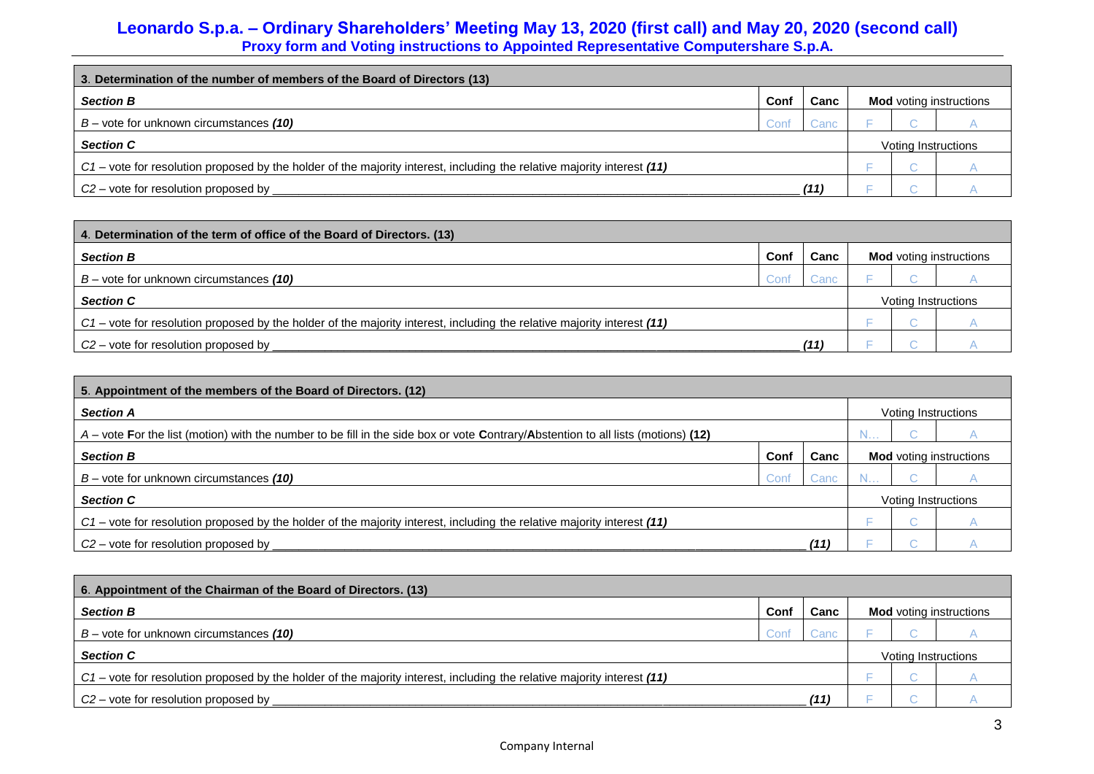| 3. Determination of the number of members of the Board of Directors (13)                                                |       |      |                                |  |                     |  |  |
|-------------------------------------------------------------------------------------------------------------------------|-------|------|--------------------------------|--|---------------------|--|--|
| <b>Section B</b>                                                                                                        | Conf  | Canc | <b>Mod</b> voting instructions |  |                     |  |  |
| $B$ – vote for unknown circumstances (10)                                                                               | Conf. | Canc |                                |  |                     |  |  |
| <b>Section C</b>                                                                                                        |       |      |                                |  | Voting Instructions |  |  |
| C1 – vote for resolution proposed by the holder of the majority interest, including the relative majority interest (11) |       |      |                                |  |                     |  |  |
| $C2$ – vote for resolution proposed by                                                                                  |       | (11) |                                |  |                     |  |  |

| 4. Determination of the term of office of the Board of Directors. (13)                                                  |      |      |                     |                                |  |  |  |
|-------------------------------------------------------------------------------------------------------------------------|------|------|---------------------|--------------------------------|--|--|--|
| <b>Section B</b>                                                                                                        | Conf | Canc |                     | <b>Mod</b> voting instructions |  |  |  |
| $B$ – vote for unknown circumstances (10)                                                                               | ∴onf | Canc |                     |                                |  |  |  |
| <b>Section C</b>                                                                                                        |      |      | Voting Instructions |                                |  |  |  |
| C1 – vote for resolution proposed by the holder of the majority interest, including the relative majority interest (11) |      |      |                     |                                |  |  |  |
| $C2$ – vote for resolution proposed by                                                                                  |      | (11) |                     |                                |  |  |  |

| 5. Appointment of the members of the Board of Directors. (12)                                                                       |      |      |                                |  |                     |  |  |  |
|-------------------------------------------------------------------------------------------------------------------------------------|------|------|--------------------------------|--|---------------------|--|--|--|
| <b>Section A</b>                                                                                                                    |      |      | Voting Instructions            |  |                     |  |  |  |
| $A$ – vote For the list (motion) with the number to be fill in the side box or vote Contrary/Abstention to all lists (motions) (12) |      |      |                                |  |                     |  |  |  |
| <b>Section B</b>                                                                                                                    | Conf | Canc | <b>Mod</b> voting instructions |  |                     |  |  |  |
| $B$ – vote for unknown circumstances (10)                                                                                           | Cont | Canc |                                |  |                     |  |  |  |
| <b>Section C</b>                                                                                                                    |      |      |                                |  | Voting Instructions |  |  |  |
| $C_1$ – vote for resolution proposed by the holder of the majority interest, including the relative majority interest (11)          |      |      |                                |  |                     |  |  |  |
| $C2$ – vote for resolution proposed by                                                                                              |      | (11  |                                |  |                     |  |  |  |

| 6. Appointment of the Chairman of the Board of Directors. (13)                                                          |      |      |                                |  |  |  |  |  |
|-------------------------------------------------------------------------------------------------------------------------|------|------|--------------------------------|--|--|--|--|--|
| <b>Section B</b>                                                                                                        | Conf | Canc | <b>Mod</b> voting instructions |  |  |  |  |  |
| $B$ – vote for unknown circumstances (10)                                                                               |      | Cand |                                |  |  |  |  |  |
| <b>Section C</b>                                                                                                        |      |      | Voting Instructions            |  |  |  |  |  |
| C1 – vote for resolution proposed by the holder of the majority interest, including the relative majority interest (11) |      |      |                                |  |  |  |  |  |
| $C2$ – vote for resolution proposed by                                                                                  |      | (11  |                                |  |  |  |  |  |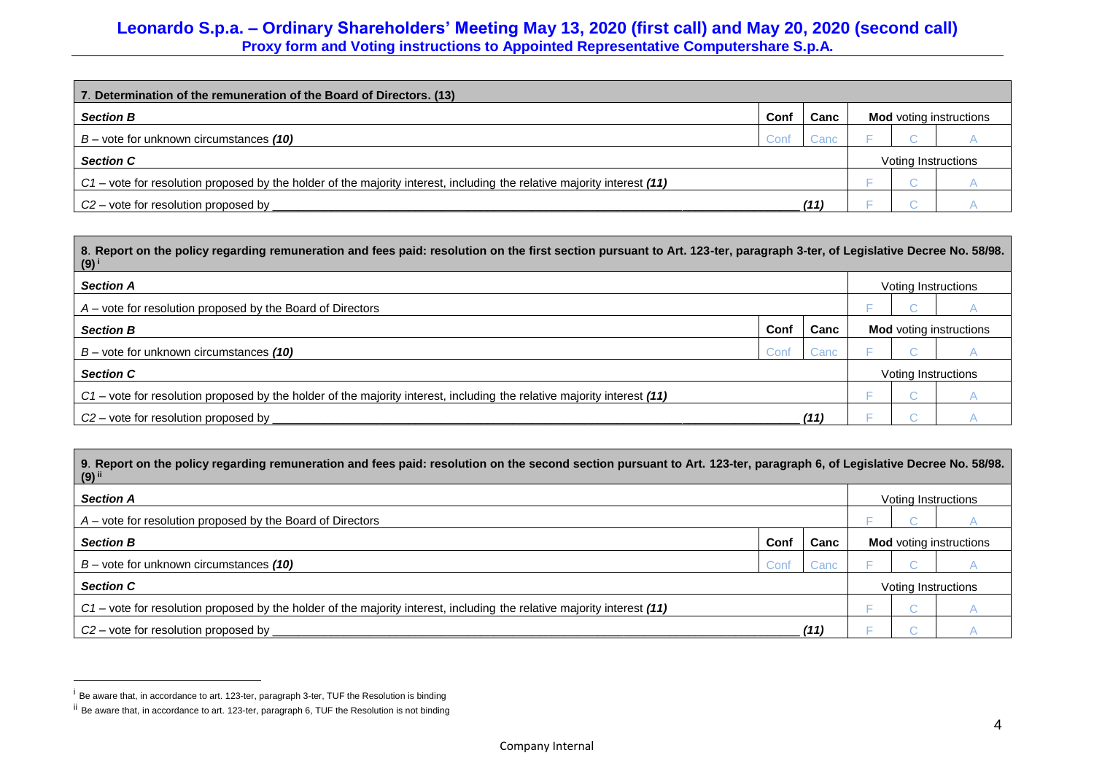| 7. Determination of the remuneration of the Board of Directors. (13)                                                    |      |       |                                |                     |  |  |  |
|-------------------------------------------------------------------------------------------------------------------------|------|-------|--------------------------------|---------------------|--|--|--|
| <b>Section B</b>                                                                                                        | Conf | Canc  | <b>Mod</b> voting instructions |                     |  |  |  |
| $B$ – vote for unknown circumstances (10)                                                                               | ∴onf | ڪanc∶ |                                |                     |  |  |  |
| <b>Section C</b>                                                                                                        |      |       |                                | Voting Instructions |  |  |  |
| C1 – vote for resolution proposed by the holder of the majority interest, including the relative majority interest (11) |      |       |                                |                     |  |  |  |
| $C2$ – vote for resolution proposed by                                                                                  |      |       |                                |                     |  |  |  |

| 8. 88/98. 8. Report on the policy regarding remuneration and fees paid: resolution on the first section pursuant to Art. 123-ter, paragraph 3-ter, of Legislative Decree No. 58/98.<br>$(9)^{i}$ |             |      |                     |  |                                |  |  |
|--------------------------------------------------------------------------------------------------------------------------------------------------------------------------------------------------|-------------|------|---------------------|--|--------------------------------|--|--|
| <b>Section A</b>                                                                                                                                                                                 |             |      | Voting Instructions |  |                                |  |  |
| $A$ – vote for resolution proposed by the Board of Directors                                                                                                                                     |             |      |                     |  |                                |  |  |
| <b>Section B</b>                                                                                                                                                                                 | Conf        | Canc |                     |  | <b>Mod</b> voting instructions |  |  |
| $B$ – vote for unknown circumstances (10)                                                                                                                                                        | <b>Conf</b> | Canc |                     |  |                                |  |  |
| <b>Section C</b>                                                                                                                                                                                 |             |      |                     |  | Voting Instructions            |  |  |
| C1 – vote for resolution proposed by the holder of the majority interest, including the relative majority interest (11)                                                                          |             |      |                     |  |                                |  |  |
| $C2$ – vote for resolution proposed by                                                                                                                                                           |             | (11) |                     |  |                                |  |  |

| 9. Report on the policy regarding remuneration and fees paid: resolution on the second section pursuant to Art. 123-ter, paragraph 6, of Legislative Decree No. 58/98.<br>$(9)$ <sup>ii</sup> |      |      |                                |  |                     |  |  |  |
|-----------------------------------------------------------------------------------------------------------------------------------------------------------------------------------------------|------|------|--------------------------------|--|---------------------|--|--|--|
| <b>Section A</b>                                                                                                                                                                              |      |      | Voting Instructions            |  |                     |  |  |  |
| $A$ – vote for resolution proposed by the Board of Directors                                                                                                                                  |      |      |                                |  |                     |  |  |  |
| <b>Section B</b>                                                                                                                                                                              | Conf | Canc | <b>Mod</b> voting instructions |  |                     |  |  |  |
| $B$ – vote for unknown circumstances (10)                                                                                                                                                     | Conf | Canc |                                |  |                     |  |  |  |
| <b>Section C</b>                                                                                                                                                                              |      |      |                                |  | Voting Instructions |  |  |  |
| C1 – vote for resolution proposed by the holder of the majority interest, including the relative majority interest (11)                                                                       |      |      |                                |  |                     |  |  |  |
| $C2$ – vote for resolution proposed by                                                                                                                                                        |      | (11) |                                |  |                     |  |  |  |

 $\overline{a}$ 

<sup>&</sup>lt;sup>i</sup> Be aware that, in accordance to art. 123-ter, paragraph 3-ter, TUF the Resolution is binding

ii Be aware that, in accordance to art. 123-ter, paragraph 6, TUF the Resolution is not binding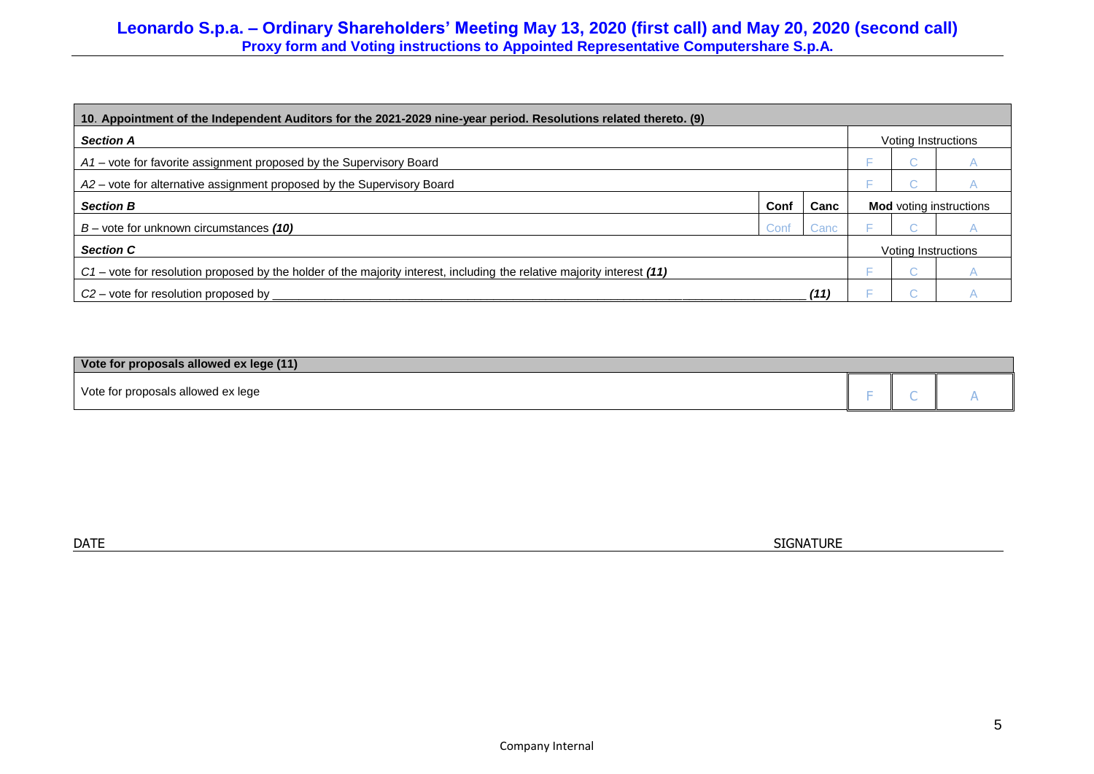| 10. Appointment of the Independent Auditors for the 2021-2029 nine-year period. Resolutions related thereto. (9)           |      |      |                                |     |                     |  |  |  |
|----------------------------------------------------------------------------------------------------------------------------|------|------|--------------------------------|-----|---------------------|--|--|--|
| <b>Section A</b>                                                                                                           |      |      | Voting Instructions            |     |                     |  |  |  |
| A1 – vote for favorite assignment proposed by the Supervisory Board                                                        |      |      |                                |     |                     |  |  |  |
| A2 - vote for alternative assignment proposed by the Supervisory Board                                                     |      |      |                                |     |                     |  |  |  |
| <b>Section B</b>                                                                                                           | Conf | Canc | <b>Mod</b> voting instructions |     |                     |  |  |  |
| $B$ – vote for unknown circumstances (10)                                                                                  | Conf | Canc |                                |     |                     |  |  |  |
| <b>Section C</b>                                                                                                           |      |      |                                |     | Voting Instructions |  |  |  |
| $C_1$ - vote for resolution proposed by the holder of the majority interest, including the relative majority interest (11) |      |      |                                | o a |                     |  |  |  |
| $C2$ – vote for resolution proposed by                                                                                     |      | (11  |                                |     |                     |  |  |  |

| Vote for proposals allowed ex lege (11) |  |  |
|-----------------------------------------|--|--|
| Vote for proposals allowed ex lege      |  |  |

 $\blacksquare$  DATE  $\blacksquare$  SIGNATURE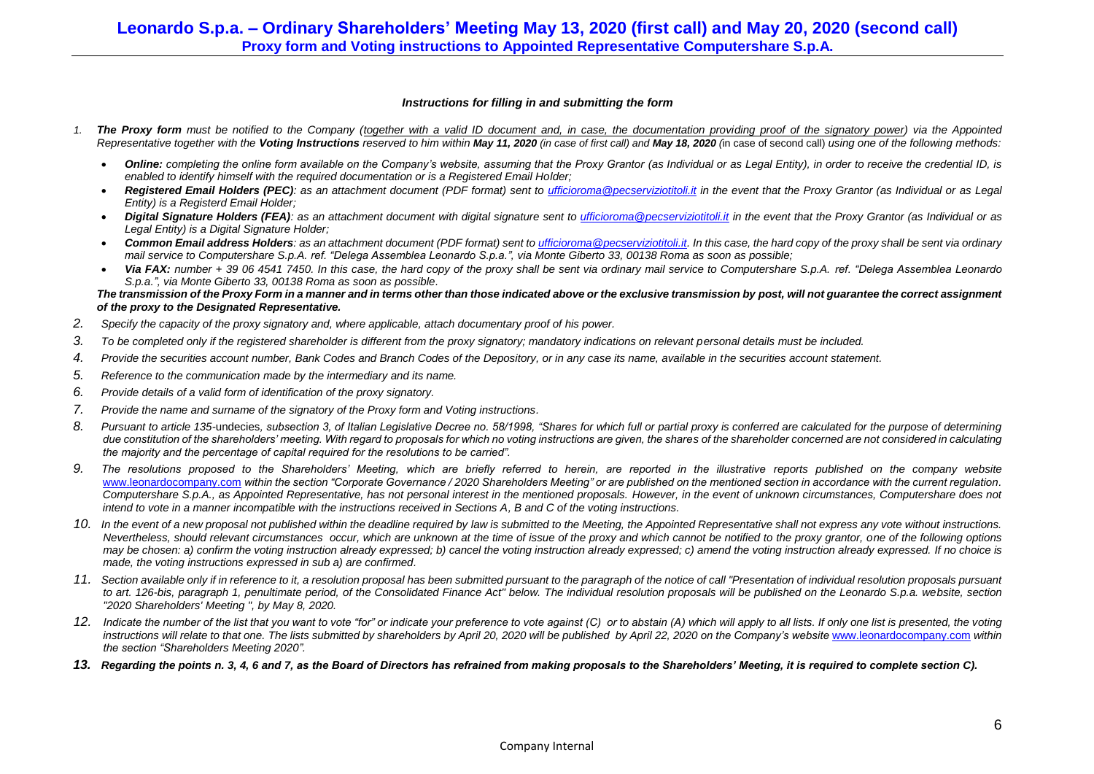#### *Instructions for filling in and submitting the form*

- *1. The Proxy form must be notified to the Company (together with a valid ID document and, in case, the documentation providing proof of the signatory power) via the Appointed*  Representative together with the Voting Instructions reserved to him within May 11, 2020 (in case of first call) and May 18, 2020 (in case of second call) using one of the following methods:
	- Online: completing the online form available on the Company's website, assuming that the Proxy Grantor (as Individual or as Legal Entity), in order to receive the credential ID, is *enabled to identify himself with the required documentation or is a Registered Email Holder;*
	- *Registered Email Holders (PEC): as an attachment document (PDF format) sent to [ufficioroma@pecserviziotitoli.it](mailto:ufficioroma@pecserviziotitoli.it) in the event that the Proxy Grantor (as Individual or as Legal Entity) is a Registerd Email Holder;*
	- Digital Signature Holders (FEA): as an attachment document with digital signature sent to [ufficioroma@pecserviziotitoli.it](mailto:ufficioroma@pecserviziotitoli.it) in the event that the Proxy Grantor (as Individual or as *Legal Entity) is a Digital Signature Holder;*
	- *Common Email address Holders: as an attachment document (PDF format) sent t[o ufficioroma@pecserviziotitoli.it.](mailto:ufficioroma@pecserviziotitoli.it) In this case, the hard copy of the proxy shall be sent via ordinary mail service to Computershare S.p.A. ref. "Delega Assemblea Leonardo S.p.a.", via Monte Giberto 33, 00138 Roma as soon as possible;*
	- *Via FAX: number + 39 06 4541 7450. In this case, the hard copy of the proxy shall be sent via ordinary mail service to Computershare S.p.A. ref. "Delega Assemblea Leonardo S.p.a.", via Monte Giberto 33, 00138 Roma as soon as possible.*

*The transmission of the Proxy Form in a manner and in terms other than those indicated above or the exclusive transmission by post, will not guarantee the correct assignment of the proxy to the Designated Representative.*

- *2. Specify the capacity of the proxy signatory and, where applicable, attach documentary proof of his power.*
- *3. To be completed only if the registered shareholder is different from the proxy signatory; mandatory indications on relevant personal details must be included.*
- *4. Provide the securities account number, Bank Codes and Branch Codes of the Depository, or in any case its name, available in the securities account statement.*
- *5. Reference to the communication made by the intermediary and its name.*
- *6. Provide details of a valid form of identification of the proxy signatory.*
- *7. Provide the name and surname of the signatory of the Proxy form and Voting instructions.*
- *8. Pursuant to article 135-*undecies*, subsection 3, of Italian Legislative Decree no. 58/1998, "Shares for which full or partial proxy is conferred are calculated for the purpose of determining due constitution of the shareholders' meeting. With regard to proposals for which no voting instructions are given, the shares of the shareholder concerned are not considered in calculating the majority and the percentage of capital required for the resolutions to be carried".*
- *9. The resolutions proposed to the Shareholders' Meeting, which are briefly referred to herein, are reported in the illustrative reports published on the company website* [www.leonardocompany.com](http://www.leonardocompany.com/) *within the section "Corporate Governance / 2020 Shareholders Meeting" or are published on the mentioned section in accordance with the current regulation. Computershare S.p.A., as Appointed Representative, has not personal interest in the mentioned proposals. However, in the event of unknown circumstances, Computershare does not intend to vote in a manner incompatible with the instructions received in Sections A, B and C of the voting instructions.*
- *10. In the event of a new proposal not published within the deadline required by law is submitted to the Meeting, the Appointed Representative shall not express any vote without instructions. Nevertheless, should relevant circumstances occur, which are unknown at the time of issue of the proxy and which cannot be notified to the proxy grantor, one of the following options may be chosen: a) confirm the voting instruction already expressed; b) cancel the voting instruction already expressed; c) amend the voting instruction already expressed. If no choice is made, the voting instructions expressed in sub a) are confirmed.*
- 11. Section available only if in reference to it, a resolution proposal has been submitted pursuant to the paragraph of the notice of call "Presentation of individual resolution proposals pursuant *to art. 126-bis, paragraph 1, penultimate period, of the Consolidated Finance Act" below. The individual resolution proposals will be published on the Leonardo S.p.a. website, section "2020 Shareholders' Meeting ", by May 8, 2020.*
- *12. Indicate the number of the list that you want to vote "for" or indicate your preference to vote against (C) or to abstain (A) which will apply to all lists. If only one list is presented, the voting*  instructions will relate to that one. The lists submitted by shareholders by April 20, 2020 will be published by April 22, 2020 on the Company's website [www.leonardocompany.com](http://www.leonardocompany.com/) within *the section "Shareholders Meeting 2020".*
- *13. Regarding the points n. 3, 4, 6 and 7, as the Board of Directors has refrained from making proposals to the Shareholders' Meeting, it is required to complete section C).*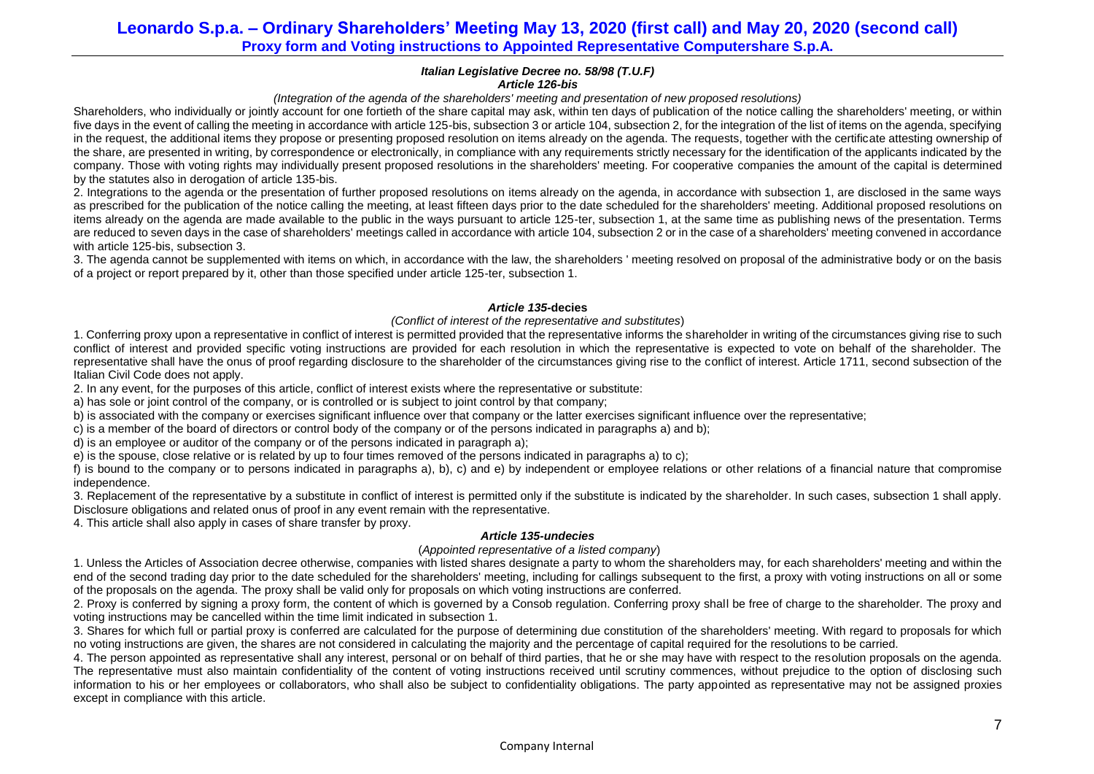#### *Italian Legislative Decree no. 58/98 (T.U.F) Article 126-bis*

### *(Integration of the agenda of the shareholders' meeting and presentation of new proposed resolutions)*

Shareholders, who individually or jointly account for one fortieth of the share capital may ask, within ten days of publication of the notice calling the shareholders' meeting, or within five days in the event of calling the meeting in accordance with article 125-bis, subsection 3 or article 104, subsection 2, for the integration of the list of items on the agenda, specifying in the request, the additional items they propose or presenting proposed resolution on items already on the agenda. The requests, together with the certificate attesting ownership of the share, are presented in writing, by correspondence or electronically, in compliance with any requirements strictly necessary for the identification of the applicants indicated by the company. Those with voting rights may individually present proposed resolutions in the shareholders' meeting. For cooperative companies the amount of the capital is determined by the statutes also in derogation of article 13[5-bis.](http://www.consob.it/mainen/documenti/english/laws/fr_decree58_1998.htm#sdfootnote595bissym) 

2. Integrations to the agenda or the presentation of further proposed resolutions on items already on the agenda, in accordance with subsection 1, are disclosed in the same ways as prescribed for the publication of the notice calling the meeting, at least fifteen days prior to the date scheduled for the shareholders' meeting. Additional proposed resolutions on items already on the agenda are made available to the public in the ways pursuant to article 125-ter, subsection 1, at the same time as publishing news of the presentation. Terms are reduced to seven days in the case of shareholders' meetings called in accordance with article 104, subsection 2 or in the case of a shareholders' meeting convened in accordance with article 125-bis, subsection 3.

3. The agenda cannot be supplemented with items on which, in accordance with the law, the shareholders ' meeting resolved on proposal of the administrative body or on the basis of a project or report prepared by it, other than those specified under article 125-ter, subsection 1.

## *Article 135-***decies**

### *(Conflict of interest of the representative and substitutes*)

1. Conferring proxy upon a representative in conflict of interest is permitted provided that the representative informs the shareholder in writing of the circumstances giving rise to such conflict of interest and provided specific voting instructions are provided for each resolution in which the representative is expected to vote on behalf of the shareholder. The representative shall have the onus of proof regarding disclosure to the shareholder of the circumstances giving rise to the conflict of interest. Article 1711, second subsection of the Italian Civil Code does not apply.

2. In any event, for the purposes of this article, conflict of interest exists where the representative or substitute:

a) has sole or joint control of the company, or is controlled or is subject to joint control by that company;

b) is associated with the company or exercises significant influence over that company or the latter exercises significant influence over the representative;

c) is a member of the board of directors or control body of the company or of the persons indicated in paragraphs a) and b);

d) is an employee or auditor of the company or of the persons indicated in paragraph a);

e) is the spouse, close relative or is related by up to four times removed of the persons indicated in paragraphs a) to c);

f) is bound to the company or to persons indicated in paragraphs a), b), c) and e) by independent or employee relations or other relations of a financial nature that compromise independence.

3. Replacement of the representative by a substitute in conflict of interest is permitted only if the substitute is indicated by the shareholder. In such cases, subsection 1 shall apply. Disclosure obligations and related onus of proof in any event remain with the representative.

4. This article shall also apply in cases of share transfer by proxy.

### *Article 135-undecies*

### (*Appointed representative of a listed company*)

1. Unless the Articles of Association decree otherwise, companies with listed shares designate a party to whom the shareholders may, for each shareholders' meeting and within the end of the second trading day prior to the date scheduled for the shareholders' meeting, including for callings subsequent to the first, a proxy with voting instructions on all or some of the proposals on the agenda. The proxy shall be valid only for proposals on which voting instructions are conferred.

2. Proxy is conferred by signing a proxy form, the content of which is governed by a Consob regulation. Conferring proxy shall be free of charge to the shareholder. The proxy and voting instructions may be cancelled within the time limit indicated in subsection 1.

3. Shares for which full or partial proxy is conferred are calculated for the purpose of determining due constitution of the shareholders' meeting. With regard to proposals for which no voting instructions are given, the shares are not considered in calculating the majority and the percentage of capital required for the resolutions to be carried.

4. The person appointed as representative shall any interest, personal or on behalf of third parties, that he or she may have with respect to the resolution proposals on the agenda. The representative must also maintain confidentiality of the content of voting instructions received until scrutiny commences, without prejudice to the option of disclosing such information to his or her employees or collaborators, who shall also be subject to confidentiality obligations. The party appointed as representative may not be assigned proxies except in compliance with this article.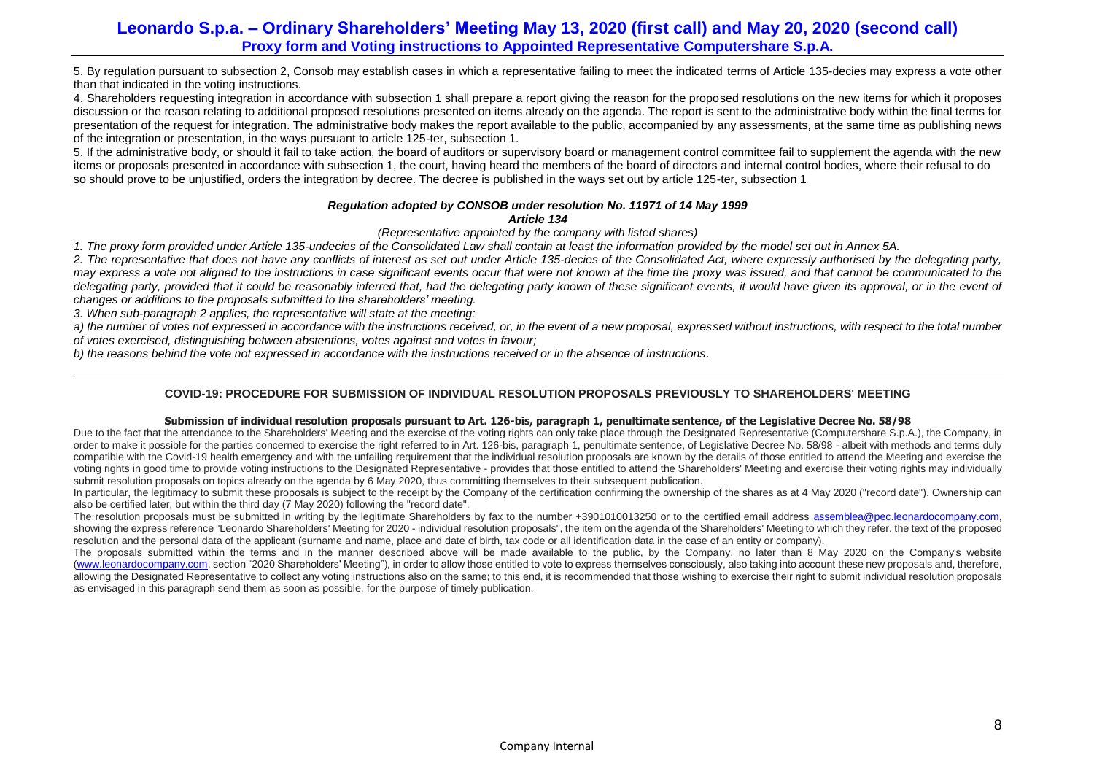5. By regulation pursuant to subsection 2, Consob may establish cases in which a representative failing to meet the indicated terms of Article 135-decies may express a vote other than that indicated in the voting instructions.

4. Shareholders requesting integration in accordance with subsection 1 shall prepare a report giving the reason for the proposed resolutions on the new items for which it proposes discussion or the reason relating to additional proposed resolutions presented on items already on the agenda. The report is sent to the administrative body within the final terms for presentation of the request for integration. The administrative body makes the report available to the public, accompanied by any assessments, at the same time as publishing news of the integration or presentation, in the ways pursuant to article 125-ter, subsection 1.

5. If the administrative body, or should it fail to take action, the board of auditors or supervisory board or management control committee fail to supplement the agenda with the new items or proposals presented in accordance with subsection 1, the court, having heard the members of the board of directors and internal control bodies, where their refusal to do so should prove to be unjustified, orders the integration by decree. The decree is published in the ways set out by article 125-ter, subsection 1

#### *Regulation adopted by CONSOB under resolution No. 11971 of 14 May 1999 Article 134*

*(Representative appointed by the company with listed shares)*

*1. The proxy form provided under Article 135-undecies of the Consolidated Law shall contain at least the information provided by the model set out in Annex 5A.*

*2. The representative that does not have any conflicts of interest as set out under Article 135-decies of the Consolidated Act, where expressly authorised by the delegating party, may express a vote not aligned to the instructions in case significant events occur that were not known at the time the proxy was issued, and that cannot be communicated to the*  delegating party, provided that it could be reasonably inferred that, had the delegating party known of these significant events, it would have given its approval, or in the event of *changes or additions to the proposals submitted to the shareholders' meeting.*

*3. When sub-paragraph 2 applies, the representative will state at the meeting:*

*a) the number of votes not expressed in accordance with the instructions received, or, in the event of a new proposal, expressed without instructions, with respect to the total number of votes exercised, distinguishing between abstentions, votes against and votes in favour;*

*b) the reasons behind the vote not expressed in accordance with the instructions received or in the absence of instructions.*

## **COVID-19: PROCEDURE FOR SUBMISSION OF INDIVIDUAL RESOLUTION PROPOSALS PREVIOUSLY TO SHAREHOLDERS' MEETING**

### **Submission of individual resolution proposals pursuant to Art. 126-bis, paragraph 1, penultimate sentence, of the Legislative Decree No. 58/98**

Due to the fact that the attendance to the Shareholders' Meeting and the exercise of the voting rights can only take place through the Designated Representative (Computershare S.p.A.), the Company, in order to make it possible for the parties concerned to exercise the right referred to in Art. 126-bis, paragraph 1, penultimate sentence, of Legislative Decree No. 58/98 - albeit with methods and terms duly compatible with the Covid-19 health emergency and with the unfailing requirement that the individual resolution proposals are known by the details of those entitled to attend the Meeting and exercise the voting rights in good time to provide voting instructions to the Designated Representative - provides that those entitled to attend the Shareholders' Meeting and exercise their voting rights may individually submit resolution proposals on topics already on the agenda by 6 May 2020, thus committing themselves to their subsequent publication.

In particular, the legitimacy to submit these proposals is subject to the receipt by the Company of the certification confirming the ownership of the shares as at 4 May 2020 ("record date"). Ownership can also be certified later, but within the third day (7 May 2020) following the "record date".

The resolution proposals must be submitted in writing by the legitimate Shareholders by fax to the number +3901010013250 or to the certified email address [assemblea@pec.leonardocompany.com,](mailto:assemblea@pec.leonardocompany.com) showing the express reference "Leonardo Shareholders' Meeting for 2020 - individual resolution proposals", the item on the agenda of the Shareholders' Meeting to which they refer, the text of the proposed resolution and the personal data of the applicant (surname and name, place and date of birth, tax code or all identification data in the case of an entity or company).

The proposals submitted within the terms and in the manner described above will be made available to the public, by the Company, no later than 8 May 2020 on the Company's website [\(www.leonardocompany.com,](http://www.leonardocompany.com/) section "2020 Shareholders' Meeting"), in order to allow those entitled to vote to express themselves consciously, also taking into account these new proposals and, therefore, allowing the Designated Representative to collect any voting instructions also on the same; to this end, it is recommended that those wishing to exercise their right to submit individual resolution proposals as envisaged in this paragraph send them as soon as possible, for the purpose of timely publication.